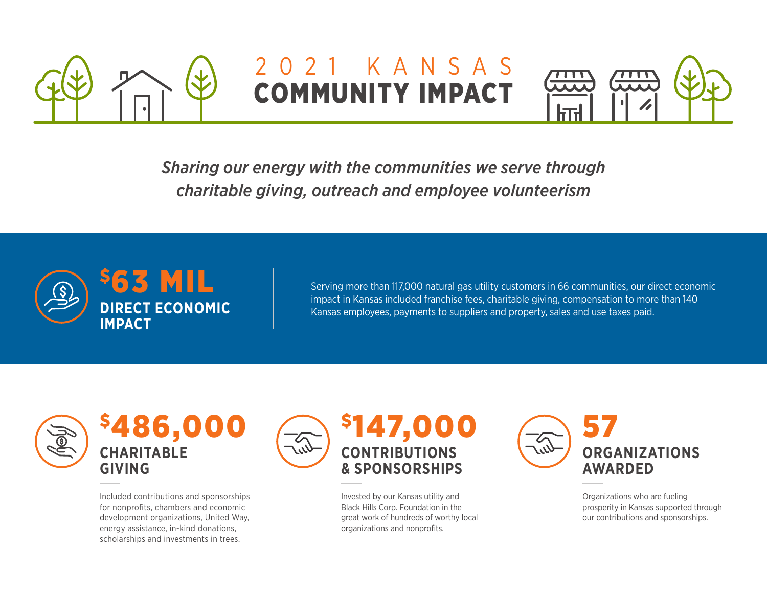

## 2021 KANSAS COMMUNITY IMPACT



*Sharing our energy with the communities we serve through charitable giving, outreach and employee volunteerism*



Serving more than 117,000 natural gas utility customers in 66 communities, our direct economic impact in Kansas included franchise fees, charitable giving, compensation to more than 140 Kansas employees, payments to suppliers and property, sales and use taxes paid.





Included contributions and sponsorships for nonprofits, chambers and economic development organizations, United Way, energy assistance, in-kind donations, scholarships and investments in trees.



Invested by our Kansas utility and Black Hills Corp. Foundation in the great work of hundreds of worthy local organizations and nonprofits.



Organizations who are fueling prosperity in Kansas supported through our contributions and sponsorships.